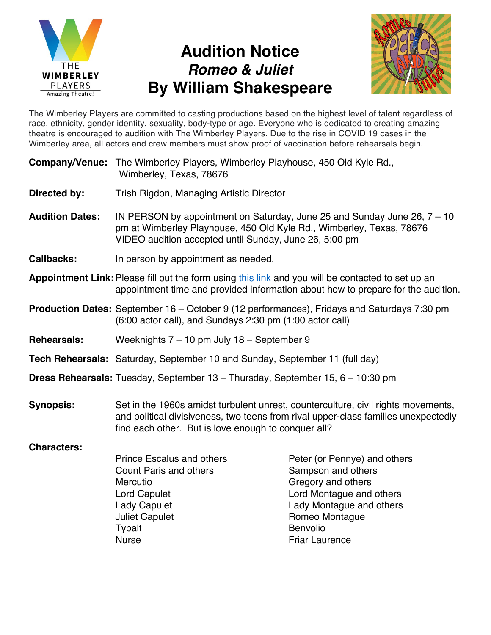

## **Audition Notice** *Romeo & Juliet* **By William Shakespeare**



The Wimberley Players are committed to casting productions based on the highest level of talent regardless of race, ethnicity, gender identity, sexuality, body-type or age. Everyone who is dedicated to creating amazing theatre is encouraged to audition with The Wimberley Players. Due to the rise in COVID 19 cases in the Wimberley area, all actors and crew members must show proof of vaccination before rehearsals begin.

| <b>Company/Venue:</b> The Wimberley Players, Wimberley Playhouse, 450 Old Kyle Rd., |
|-------------------------------------------------------------------------------------|
| Wimberley, Texas, 78676                                                             |

- **Directed by:** Trish Rigdon, Managing Artistic Director
- **Audition Dates:** IN PERSON by appointment on Saturday, June 25 and Sunday June 26, 7 10 pm at Wimberley Playhouse, 450 Old Kyle Rd., Wimberley, Texas, 78676 VIDEO audition accepted until Sunday, June 26, 5:00 pm
- **Callbacks:** In person by appointment as needed.
- **Appointment Link:** Please fill out the form using this link and you will be contacted to set up an appointment time and provided information about how to prepare for the audition.
- **Production Dates:** September 16 October 9 (12 performances), Fridays and Saturdays 7:30 pm (6:00 actor call), and Sundays 2:30 pm (1:00 actor call)
- **Rehearsals:** Weeknights 7 10 pm July 18 September 9
- **Tech Rehearsals:** Saturday, September 10 and Sunday, September 11 (full day)
- **Dress Rehearsals:** Tuesday, September 13 Thursday, September 15, 6 10:30 pm
- **Synopsis:** Set in the 1960s amidst turbulent unrest, counterculture, civil rights movements, and political divisiveness, two teens from rival upper-class families unexpectedly find each other. But is love enough to conquer all?

## **Characters:**

| <b>Prince Escalus and others</b> | Peter (or Pennye) and others |
|----------------------------------|------------------------------|
| <b>Count Paris and others</b>    | Sampson and others           |
| Mercutio                         | Gregory and others           |
| Lord Capulet                     | Lord Montague and others     |
| <b>Lady Capulet</b>              | Lady Montague and others     |
| <b>Juliet Capulet</b>            | Romeo Montague               |
| Tybalt                           | <b>Benvolio</b>              |
| <b>Nurse</b>                     | <b>Friar Laurence</b>        |
|                                  |                              |